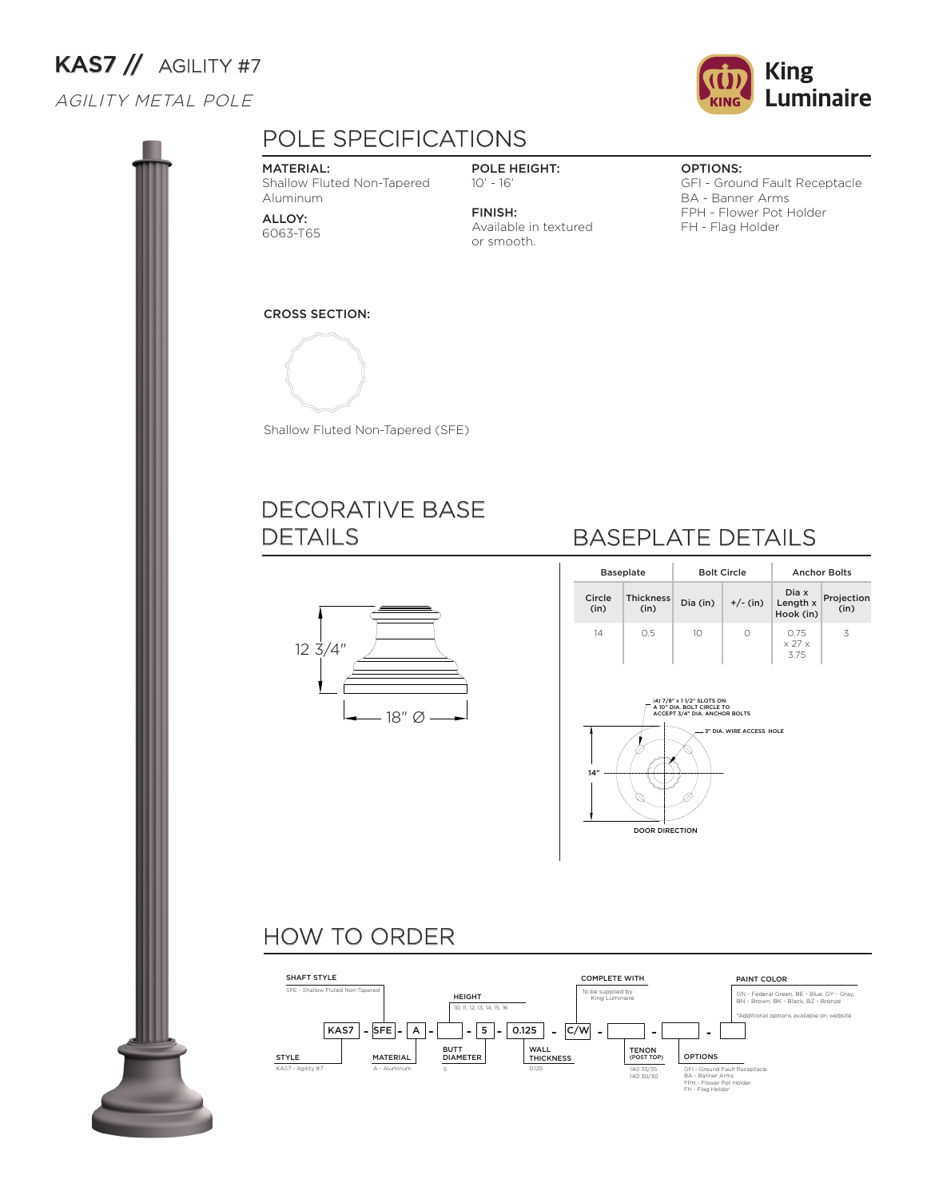# KAS7 // AGILITY #7

#### AGILITY METAL POLE





### POLE SPECIFICATIONS

#### MATERIAL:

Shallow Fluted Non-Tapered Aluminum

ALLOY: 6063-T65

#### POLE HEIGHT: 10' - 16'

FINISH: Available in textured or smooth.

#### OPTIONS:

GFI - Ground Fault Receptacle BA - Banner Arms FPH - Flower Pot Holder FH - Flag Holder





Shallow Fluted Non-Tapered (SFE)

#### DECORATIVE BASE DETAILS



## BASEPLATE DETAILS

|                                                                                                                            | <b>Baseplate</b>         |                 | <b>Bolt Circle</b> | <b>Anchor Bolts</b>                  |                    |  |  |  |  |
|----------------------------------------------------------------------------------------------------------------------------|--------------------------|-----------------|--------------------|--------------------------------------|--------------------|--|--|--|--|
| Circle<br>(in)                                                                                                             | <b>Thickness</b><br>(in) | Dia (in)        | $+/-$ (in)         | Dia x<br>Length x<br>Hook (in)       | Projection<br>(in) |  |  |  |  |
| 14                                                                                                                         | 0.5                      | 10 <sup>°</sup> | $\bigcap$          | 0.75<br>$\times$ 27 $\times$<br>3.75 | 3                  |  |  |  |  |
| (4) 7/8" x 11/2" SLOTS ON<br>A 10" DIA, BOLT CIRCLE TO<br>ACCEPT 3/4" DIA. ANCHOR BOLTS<br>3" DIA, WIRE ACCESS HOLE<br>14" |                          |                 |                    |                                      |                    |  |  |  |  |

DOOR DIRECTION

#### HOW TO ORDER